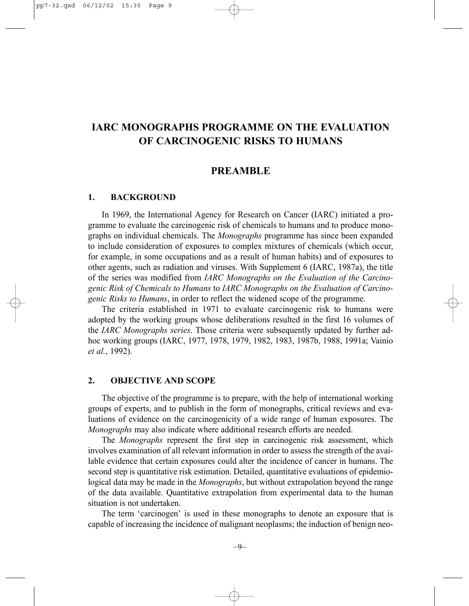# **IARC MONOGRAPHS PROGRAMME ON THE EVALUATION OF CARCINOGENIC RISKS TO HUMANS**

# **PREAMBLE**

# **1. BACKGROUND**

In 1969, the International Agency for Research on Cancer (IARC) initiated a programme to evaluate the carcinogenic risk of chemicals to humans and to produce monographs on individual chemicals. The *Monographs* programme has since been expanded to include consideration of exposures to complex mixtures of chemicals (which occur, for example, in some occupations and as a result of human habits) and of exposures to other agents, such as radiation and viruses. With Supplement 6 (IARC, 1987a), the title of the series was modified from *IARC Monographs on the Evaluation of the Carcinogenic Risk of Chemicals to Humans* to *IARC Monographs on the Evaluation of Carcinogenic Risks to Humans*, in order to reflect the widened scope of the programme.

The criteria established in 1971 to evaluate carcinogenic risk to humans were adopted by the working groups whose deliberations resulted in the first 16 volumes of the *IARC Monographs series*. Those criteria were subsequently updated by further adhoc working groups (IARC, 1977, 1978, 1979, 1982, 1983, 1987b, 1988, 1991a; Vainio *et al.*, 1992).

# **2. OBJECTIVE AND SCOPE**

The objective of the programme is to prepare, with the help of international working groups of experts, and to publish in the form of monographs, critical reviews and evaluations of evidence on the carcinogenicity of a wide range of human exposures. The *Monographs* may also indicate where additional research efforts are needed.

The *Monographs* represent the first step in carcinogenic risk assessment, which involves examination of all relevant information in order to assess the strength of the available evidence that certain exposures could alter the incidence of cancer in humans. The second step is quantitative risk estimation. Detailed, quantitative evaluations of epidemiological data may be made in the *Monographs*, but without extrapolation beyond the range of the data available. Quantitative extrapolation from experimental data to the human situation is not undertaken.

The term 'carcinogen' is used in these monographs to denote an exposure that is capable of increasing the incidence of malignant neoplasms; the induction of benign neo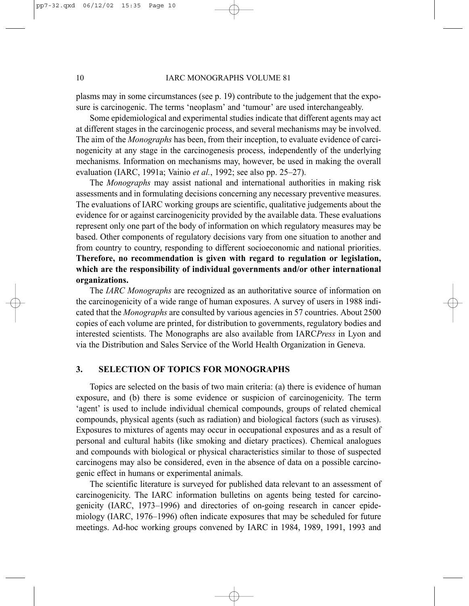plasms may in some circumstances (see p. 19) contribute to the judgement that the exposure is carcinogenic. The terms 'neoplasm' and 'tumour' are used interchangeably.

Some epidemiological and experimental studies indicate that different agents may act at different stages in the carcinogenic process, and several mechanisms may be involved. The aim of the *Monographs* has been, from their inception, to evaluate evidence of carcinogenicity at any stage in the carcinogenesis process, independently of the underlying mechanisms. Information on mechanisms may, however, be used in making the overall evaluation (IARC, 1991a; Vainio *et al.*, 1992; see also pp. 25–27).

The *Monographs* may assist national and international authorities in making risk assessments and in formulating decisions concerning any necessary preventive measures. The evaluations of IARC working groups are scientific, qualitative judgements about the evidence for or against carcinogenicity provided by the available data. These evaluations represent only one part of the body of information on which regulatory measures may be based. Other components of regulatory decisions vary from one situation to another and from country to country, responding to different socioeconomic and national priorities. **Therefore, no recommendation is given with regard to regulation or legislation, which are the responsibility of individual governments and/or other international organizations.**

The *IARC Monographs* are recognized as an authoritative source of information on the carcinogenicity of a wide range of human exposures. A survey of users in 1988 indicated that the *Monographs* are consulted by various agencies in 57 countries. About 2500 copies of each volume are printed, for distribution to governments, regulatory bodies and interested scientists. The Monographs are also available from IARC*Press* in Lyon and via the Distribution and Sales Service of the World Health Organization in Geneva.

# **3. SELECTION OF TOPICS FOR MONOGRAPHS**

Topics are selected on the basis of two main criteria: (a) there is evidence of human exposure, and (b) there is some evidence or suspicion of carcinogenicity. The term 'agent' is used to include individual chemical compounds, groups of related chemical compounds, physical agents (such as radiation) and biological factors (such as viruses). Exposures to mixtures of agents may occur in occupational exposures and as a result of personal and cultural habits (like smoking and dietary practices). Chemical analogues and compounds with biological or physical characteristics similar to those of suspected carcinogens may also be considered, even in the absence of data on a possible carcinogenic effect in humans or experimental animals.

The scientific literature is surveyed for published data relevant to an assessment of carcinogenicity. The IARC information bulletins on agents being tested for carcinogenicity (IARC, 1973–1996) and directories of on-going research in cancer epidemiology (IARC, 1976–1996) often indicate exposures that may be scheduled for future meetings. Ad-hoc working groups convened by IARC in 1984, 1989, 1991, 1993 and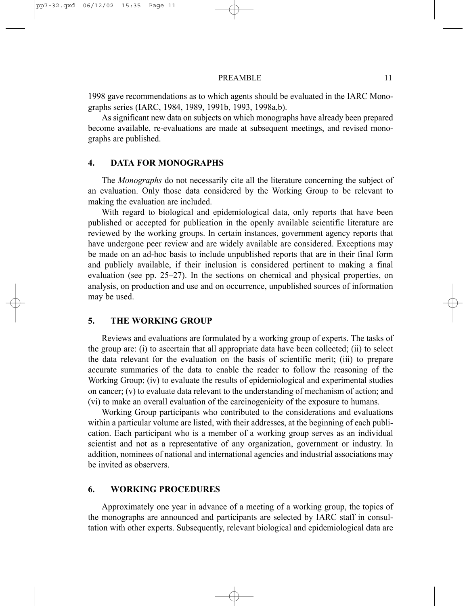1998 gave recommendations as to which agents should be evaluated in the IARC Monographs series (IARC, 1984, 1989, 1991b, 1993, 1998a,b).

As significant new data on subjects on which monographs have already been prepared become available, re-evaluations are made at subsequent meetings, and revised monographs are published.

# **4. DATA FOR MONOGRAPHS**

The *Monographs* do not necessarily cite all the literature concerning the subject of an evaluation. Only those data considered by the Working Group to be relevant to making the evaluation are included.

With regard to biological and epidemiological data, only reports that have been published or accepted for publication in the openly available scientific literature are reviewed by the working groups. In certain instances, government agency reports that have undergone peer review and are widely available are considered. Exceptions may be made on an ad-hoc basis to include unpublished reports that are in their final form and publicly available, if their inclusion is considered pertinent to making a final evaluation (see pp. 25–27). In the sections on chemical and physical properties, on analysis, on production and use and on occurrence, unpublished sources of information may be used.

### **5. THE WORKING GROUP**

Reviews and evaluations are formulated by a working group of experts. The tasks of the group are: (i) to ascertain that all appropriate data have been collected; (ii) to select the data relevant for the evaluation on the basis of scientific merit; (iii) to prepare accurate summaries of the data to enable the reader to follow the reasoning of the Working Group; (iv) to evaluate the results of epidemiological and experimental studies on cancer; (v) to evaluate data relevant to the understanding of mechanism of action; and (vi) to make an overall evaluation of the carcinogenicity of the exposure to humans.

Working Group participants who contributed to the considerations and evaluations within a particular volume are listed, with their addresses, at the beginning of each publication. Each participant who is a member of a working group serves as an individual scientist and not as a representative of any organization, government or industry. In addition, nominees of national and international agencies and industrial associations may be invited as observers.

# **6. WORKING PROCEDURES**

Approximately one year in advance of a meeting of a working group, the topics of the monographs are announced and participants are selected by IARC staff in consultation with other experts. Subsequently, relevant biological and epidemiological data are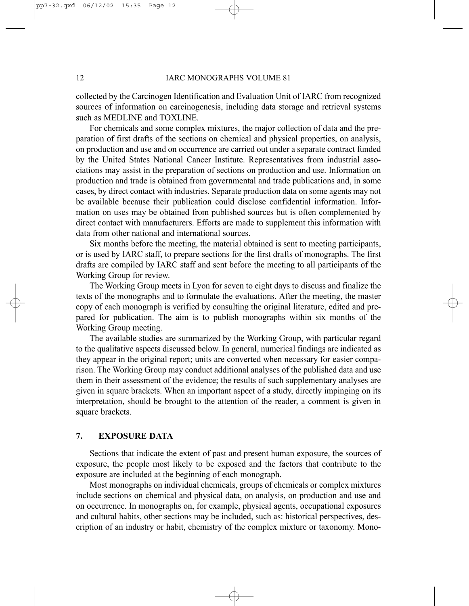collected by the Carcinogen Identification and Evaluation Unit of IARC from recognized sources of information on carcinogenesis, including data storage and retrieval systems such as MEDLINE and TOXLINE.

For chemicals and some complex mixtures, the major collection of data and the preparation of first drafts of the sections on chemical and physical properties, on analysis, on production and use and on occurrence are carried out under a separate contract funded by the United States National Cancer Institute. Representatives from industrial associations may assist in the preparation of sections on production and use. Information on production and trade is obtained from governmental and trade publications and, in some cases, by direct contact with industries. Separate production data on some agents may not be available because their publication could disclose confidential information. Information on uses may be obtained from published sources but is often complemented by direct contact with manufacturers. Efforts are made to supplement this information with data from other national and international sources.

Six months before the meeting, the material obtained is sent to meeting participants, or is used by IARC staff, to prepare sections for the first drafts of monographs. The first drafts are compiled by IARC staff and sent before the meeting to all participants of the Working Group for review.

The Working Group meets in Lyon for seven to eight days to discuss and finalize the texts of the monographs and to formulate the evaluations. After the meeting, the master copy of each monograph is verified by consulting the original literature, edited and prepared for publication. The aim is to publish monographs within six months of the Working Group meeting.

The available studies are summarized by the Working Group, with particular regard to the qualitative aspects discussed below. In general, numerical findings are indicated as they appear in the original report; units are converted when necessary for easier comparison. The Working Group may conduct additional analyses of the published data and use them in their assessment of the evidence; the results of such supplementary analyses are given in square brackets. When an important aspect of a study, directly impinging on its interpretation, should be brought to the attention of the reader, a comment is given in square brackets.

# **7. EXPOSURE DATA**

Sections that indicate the extent of past and present human exposure, the sources of exposure, the people most likely to be exposed and the factors that contribute to the exposure are included at the beginning of each monograph.

Most monographs on individual chemicals, groups of chemicals or complex mixtures include sections on chemical and physical data, on analysis, on production and use and on occurrence. In monographs on, for example, physical agents, occupational exposures and cultural habits, other sections may be included, such as: historical perspectives, description of an industry or habit, chemistry of the complex mixture or taxonomy. Mono-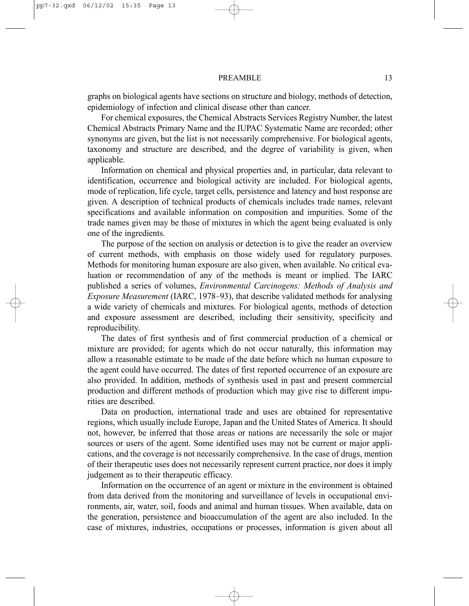graphs on biological agents have sections on structure and biology, methods of detection, epidemiology of infection and clinical disease other than cancer.

For chemical exposures, the Chemical Abstracts Services Registry Number, the latest Chemical Abstracts Primary Name and the IUPAC Systematic Name are recorded; other synonyms are given, but the list is not necessarily comprehensive. For biological agents, taxonomy and structure are described, and the degree of variability is given, when applicable.

Information on chemical and physical properties and, in particular, data relevant to identification, occurrence and biological activity are included. For biological agents, mode of replication, life cycle, target cells, persistence and latency and host response are given. A description of technical products of chemicals includes trade names, relevant specifications and available information on composition and impurities. Some of the trade names given may be those of mixtures in which the agent being evaluated is only one of the ingredients.

The purpose of the section on analysis or detection is to give the reader an overview of current methods, with emphasis on those widely used for regulatory purposes. Methods for monitoring human exposure are also given, when available. No critical evaluation or recommendation of any of the methods is meant or implied. The IARC published a series of volumes, *Environmental Carcinogens: Methods of Analysis and Exposure Measurement* (IARC, 1978–93), that describe validated methods for analysing a wide variety of chemicals and mixtures. For biological agents, methods of detection and exposure assessment are described, including their sensitivity, specificity and reproducibility.

The dates of first synthesis and of first commercial production of a chemical or mixture are provided; for agents which do not occur naturally, this information may allow a reasonable estimate to be made of the date before which no human exposure to the agent could have occurred. The dates of first reported occurrence of an exposure are also provided. In addition, methods of synthesis used in past and present commercial production and different methods of production which may give rise to different impurities are described.

Data on production, international trade and uses are obtained for representative regions, which usually include Europe, Japan and the United States of America. It should not, however, be inferred that those areas or nations are necessarily the sole or major sources or users of the agent. Some identified uses may not be current or major applications, and the coverage is not necessarily comprehensive. In the case of drugs, mention of their therapeutic uses does not necessarily represent current practice, nor does it imply judgement as to their therapeutic efficacy.

Information on the occurrence of an agent or mixture in the environment is obtained from data derived from the monitoring and surveillance of levels in occupational environments, air, water, soil, foods and animal and human tissues. When available, data on the generation, persistence and bioaccumulation of the agent are also included. In the case of mixtures, industries, occupations or processes, information is given about all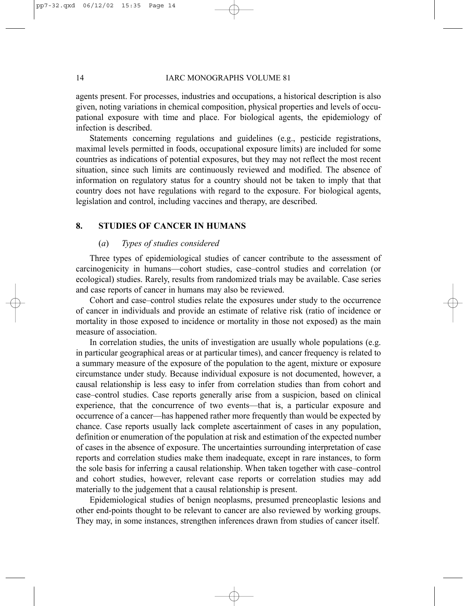agents present. For processes, industries and occupations, a historical description is also given, noting variations in chemical composition, physical properties and levels of occupational exposure with time and place. For biological agents, the epidemiology of infection is described.

Statements concerning regulations and guidelines (e.g., pesticide registrations, maximal levels permitted in foods, occupational exposure limits) are included for some countries as indications of potential exposures, but they may not reflect the most recent situation, since such limits are continuously reviewed and modified. The absence of information on regulatory status for a country should not be taken to imply that that country does not have regulations with regard to the exposure. For biological agents, legislation and control, including vaccines and therapy, are described.

# **8. STUDIES OF CANCER IN HUMANS**

#### (*a*) *Types of studies considered*

Three types of epidemiological studies of cancer contribute to the assessment of carcinogenicity in humans—cohort studies, case–control studies and correlation (or ecological) studies. Rarely, results from randomized trials may be available. Case series and case reports of cancer in humans may also be reviewed.

Cohort and case–control studies relate the exposures under study to the occurrence of cancer in individuals and provide an estimate of relative risk (ratio of incidence or mortality in those exposed to incidence or mortality in those not exposed) as the main measure of association.

In correlation studies, the units of investigation are usually whole populations (e.g. in particular geographical areas or at particular times), and cancer frequency is related to a summary measure of the exposure of the population to the agent, mixture or exposure circumstance under study. Because individual exposure is not documented, however, a causal relationship is less easy to infer from correlation studies than from cohort and case–control studies. Case reports generally arise from a suspicion, based on clinical experience, that the concurrence of two events—that is, a particular exposure and occurrence of a cancer—has happened rather more frequently than would be expected by chance. Case reports usually lack complete ascertainment of cases in any population, definition or enumeration of the population at risk and estimation of the expected number of cases in the absence of exposure. The uncertainties surrounding interpretation of case reports and correlation studies make them inadequate, except in rare instances, to form the sole basis for inferring a causal relationship. When taken together with case–control and cohort studies, however, relevant case reports or correlation studies may add materially to the judgement that a causal relationship is present.

Epidemiological studies of benign neoplasms, presumed preneoplastic lesions and other end-points thought to be relevant to cancer are also reviewed by working groups. They may, in some instances, strengthen inferences drawn from studies of cancer itself.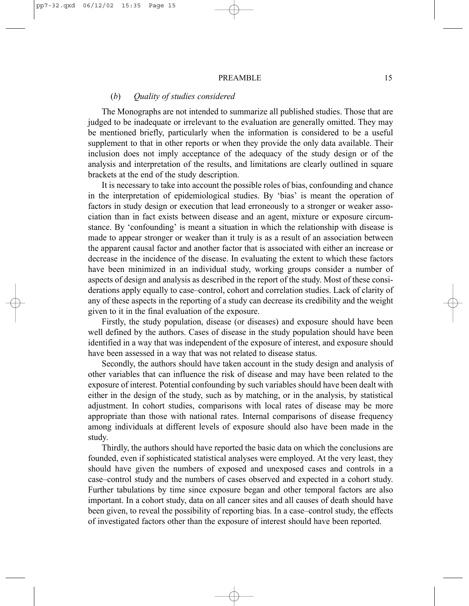### (*b*) *Quality of studies considered*

The Monographs are not intended to summarize all published studies. Those that are judged to be inadequate or irrelevant to the evaluation are generally omitted. They may be mentioned briefly, particularly when the information is considered to be a useful supplement to that in other reports or when they provide the only data available. Their inclusion does not imply acceptance of the adequacy of the study design or of the analysis and interpretation of the results, and limitations are clearly outlined in square brackets at the end of the study description.

It is necessary to take into account the possible roles of bias, confounding and chance in the interpretation of epidemiological studies. By 'bias' is meant the operation of factors in study design or execution that lead erroneously to a stronger or weaker association than in fact exists between disease and an agent, mixture or exposure circumstance. By 'confounding' is meant a situation in which the relationship with disease is made to appear stronger or weaker than it truly is as a result of an association between the apparent causal factor and another factor that is associated with either an increase or decrease in the incidence of the disease. In evaluating the extent to which these factors have been minimized in an individual study, working groups consider a number of aspects of design and analysis as described in the report of the study. Most of these considerations apply equally to case–control, cohort and correlation studies. Lack of clarity of any of these aspects in the reporting of a study can decrease its credibility and the weight given to it in the final evaluation of the exposure.

Firstly, the study population, disease (or diseases) and exposure should have been well defined by the authors. Cases of disease in the study population should have been identified in a way that was independent of the exposure of interest, and exposure should have been assessed in a way that was not related to disease status.

Secondly, the authors should have taken account in the study design and analysis of other variables that can influence the risk of disease and may have been related to the exposure of interest. Potential confounding by such variables should have been dealt with either in the design of the study, such as by matching, or in the analysis, by statistical adjustment. In cohort studies, comparisons with local rates of disease may be more appropriate than those with national rates. Internal comparisons of disease frequency among individuals at different levels of exposure should also have been made in the study.

Thirdly, the authors should have reported the basic data on which the conclusions are founded, even if sophisticated statistical analyses were employed. At the very least, they should have given the numbers of exposed and unexposed cases and controls in a case–control study and the numbers of cases observed and expected in a cohort study. Further tabulations by time since exposure began and other temporal factors are also important. In a cohort study, data on all cancer sites and all causes of death should have been given, to reveal the possibility of reporting bias. In a case–control study, the effects of investigated factors other than the exposure of interest should have been reported.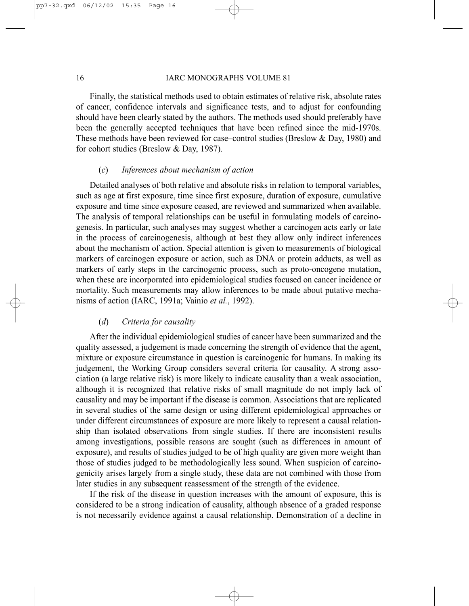### 16 IARC MONOGRAPHS VOLUME 81

Finally, the statistical methods used to obtain estimates of relative risk, absolute rates of cancer, confidence intervals and significance tests, and to adjust for confounding should have been clearly stated by the authors. The methods used should preferably have been the generally accepted techniques that have been refined since the mid-1970s. These methods have been reviewed for case–control studies (Breslow & Day, 1980) and for cohort studies (Breslow & Day, 1987).

### (*c*) *Inferences about mechanism of action*

Detailed analyses of both relative and absolute risks in relation to temporal variables, such as age at first exposure, time since first exposure, duration of exposure, cumulative exposure and time since exposure ceased, are reviewed and summarized when available. The analysis of temporal relationships can be useful in formulating models of carcinogenesis. In particular, such analyses may suggest whether a carcinogen acts early or late in the process of carcinogenesis, although at best they allow only indirect inferences about the mechanism of action. Special attention is given to measurements of biological markers of carcinogen exposure or action, such as DNA or protein adducts, as well as markers of early steps in the carcinogenic process, such as proto-oncogene mutation, when these are incorporated into epidemiological studies focused on cancer incidence or mortality. Such measurements may allow inferences to be made about putative mechanisms of action (IARC, 1991a; Vainio *et al.*, 1992).

# (*d*) *Criteria for causality*

After the individual epidemiological studies of cancer have been summarized and the quality assessed, a judgement is made concerning the strength of evidence that the agent, mixture or exposure circumstance in question is carcinogenic for humans. In making its judgement, the Working Group considers several criteria for causality. A strong association (a large relative risk) is more likely to indicate causality than a weak association, although it is recognized that relative risks of small magnitude do not imply lack of causality and may be important if the disease is common. Associations that are replicated in several studies of the same design or using different epidemiological approaches or under different circumstances of exposure are more likely to represent a causal relationship than isolated observations from single studies. If there are inconsistent results among investigations, possible reasons are sought (such as differences in amount of exposure), and results of studies judged to be of high quality are given more weight than those of studies judged to be methodologically less sound. When suspicion of carcinogenicity arises largely from a single study, these data are not combined with those from later studies in any subsequent reassessment of the strength of the evidence.

If the risk of the disease in question increases with the amount of exposure, this is considered to be a strong indication of causality, although absence of a graded response is not necessarily evidence against a causal relationship. Demonstration of a decline in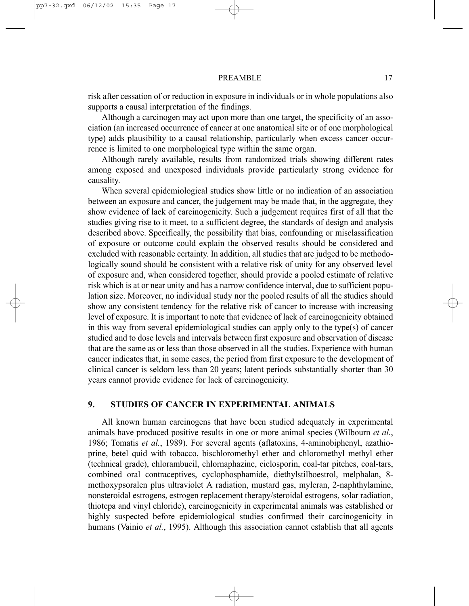risk after cessation of or reduction in exposure in individuals or in whole populations also supports a causal interpretation of the findings.

Although a carcinogen may act upon more than one target, the specificity of an association (an increased occurrence of cancer at one anatomical site or of one morphological type) adds plausibility to a causal relationship, particularly when excess cancer occurrence is limited to one morphological type within the same organ.

Although rarely available, results from randomized trials showing different rates among exposed and unexposed individuals provide particularly strong evidence for causality.

When several epidemiological studies show little or no indication of an association between an exposure and cancer, the judgement may be made that, in the aggregate, they show evidence of lack of carcinogenicity. Such a judgement requires first of all that the studies giving rise to it meet, to a sufficient degree, the standards of design and analysis described above. Specifically, the possibility that bias, confounding or misclassification of exposure or outcome could explain the observed results should be considered and excluded with reasonable certainty. In addition, all studies that are judged to be methodologically sound should be consistent with a relative risk of unity for any observed level of exposure and, when considered together, should provide a pooled estimate of relative risk which is at or near unity and has a narrow confidence interval, due to sufficient population size. Moreover, no individual study nor the pooled results of all the studies should show any consistent tendency for the relative risk of cancer to increase with increasing level of exposure. It is important to note that evidence of lack of carcinogenicity obtained in this way from several epidemiological studies can apply only to the type(s) of cancer studied and to dose levels and intervals between first exposure and observation of disease that are the same as or less than those observed in all the studies. Experience with human cancer indicates that, in some cases, the period from first exposure to the development of clinical cancer is seldom less than 20 years; latent periods substantially shorter than 30 years cannot provide evidence for lack of carcinogenicity.

# **9. STUDIES OF CANCER IN EXPERIMENTAL ANIMALS**

All known human carcinogens that have been studied adequately in experimental animals have produced positive results in one or more animal species (Wilbourn *et al.*, 1986; Tomatis *et al.*, 1989). For several agents (aflatoxins, 4-aminobiphenyl, azathioprine, betel quid with tobacco, bischloromethyl ether and chloromethyl methyl ether (technical grade), chlorambucil, chlornaphazine, ciclosporin, coal-tar pitches, coal-tars, combined oral contraceptives, cyclophosphamide, diethylstilboestrol, melphalan, 8 methoxypsoralen plus ultraviolet A radiation, mustard gas, myleran, 2-naphthylamine, nonsteroidal estrogens, estrogen replacement therapy/steroidal estrogens, solar radiation, thiotepa and vinyl chloride), carcinogenicity in experimental animals was established or highly suspected before epidemiological studies confirmed their carcinogenicity in humans (Vainio *et al.*, 1995). Although this association cannot establish that all agents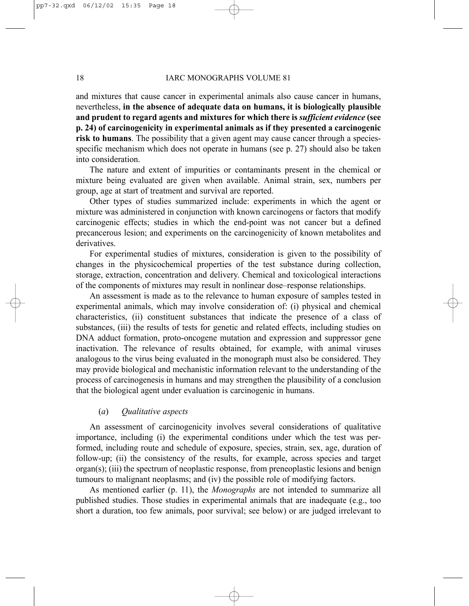and mixtures that cause cancer in experimental animals also cause cancer in humans, nevertheless, **in the absence of adequate data on humans, it is biologically plausible and prudent to regard agents and mixtures for which there is** *sufficient evidence* **(see p. 24) of carcinogenicity in experimental animals as if they presented a carcinogenic risk to humans**. The possibility that a given agent may cause cancer through a speciesspecific mechanism which does not operate in humans (see p. 27) should also be taken into consideration.

The nature and extent of impurities or contaminants present in the chemical or mixture being evaluated are given when available. Animal strain, sex, numbers per group, age at start of treatment and survival are reported.

Other types of studies summarized include: experiments in which the agent or mixture was administered in conjunction with known carcinogens or factors that modify carcinogenic effects; studies in which the end-point was not cancer but a defined precancerous lesion; and experiments on the carcinogenicity of known metabolites and derivatives.

For experimental studies of mixtures, consideration is given to the possibility of changes in the physicochemical properties of the test substance during collection, storage, extraction, concentration and delivery. Chemical and toxicological interactions of the components of mixtures may result in nonlinear dose–response relationships.

An assessment is made as to the relevance to human exposure of samples tested in experimental animals, which may involve consideration of: (i) physical and chemical characteristics, (ii) constituent substances that indicate the presence of a class of substances, (iii) the results of tests for genetic and related effects, including studies on DNA adduct formation, proto-oncogene mutation and expression and suppressor gene inactivation. The relevance of results obtained, for example, with animal viruses analogous to the virus being evaluated in the monograph must also be considered. They may provide biological and mechanistic information relevant to the understanding of the process of carcinogenesis in humans and may strengthen the plausibility of a conclusion that the biological agent under evaluation is carcinogenic in humans.

#### (*a*) *Qualitative aspects*

An assessment of carcinogenicity involves several considerations of qualitative importance, including (i) the experimental conditions under which the test was performed, including route and schedule of exposure, species, strain, sex, age, duration of follow-up; (ii) the consistency of the results, for example, across species and target organ(s); (iii) the spectrum of neoplastic response, from preneoplastic lesions and benign tumours to malignant neoplasms; and (iv) the possible role of modifying factors.

As mentioned earlier (p. 11), the *Monographs* are not intended to summarize all published studies. Those studies in experimental animals that are inadequate (e.g., too short a duration, too few animals, poor survival; see below) or are judged irrelevant to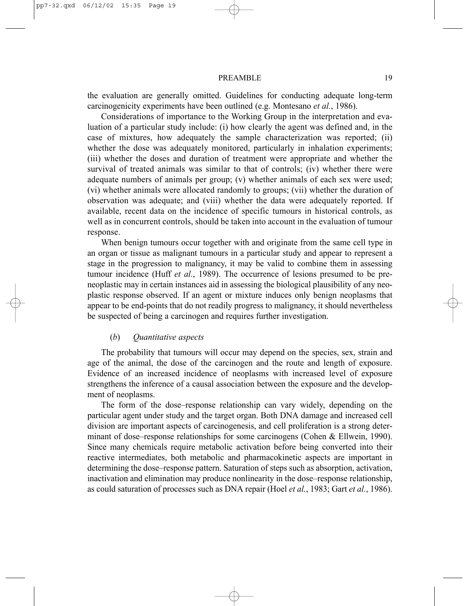the evaluation are generally omitted. Guidelines for conducting adequate long-term carcinogenicity experiments have been outlined (e.g. Montesano *et al.*, 1986).

Considerations of importance to the Working Group in the interpretation and evaluation of a particular study include: (i) how clearly the agent was defined and, in the case of mixtures, how adequately the sample characterization was reported; (ii) whether the dose was adequately monitored, particularly in inhalation experiments; (iii) whether the doses and duration of treatment were appropriate and whether the survival of treated animals was similar to that of controls; (iv) whether there were adequate numbers of animals per group; (v) whether animals of each sex were used; (vi) whether animals were allocated randomly to groups; (vii) whether the duration of observation was adequate; and (viii) whether the data were adequately reported. If available, recent data on the incidence of specific tumours in historical controls, as well as in concurrent controls, should be taken into account in the evaluation of tumour response.

When benign tumours occur together with and originate from the same cell type in an organ or tissue as malignant tumours in a particular study and appear to represent a stage in the progression to malignancy, it may be valid to combine them in assessing tumour incidence (Huff *et al.*, 1989). The occurrence of lesions presumed to be preneoplastic may in certain instances aid in assessing the biological plausibility of any neoplastic response observed. If an agent or mixture induces only benign neoplasms that appear to be end-points that do not readily progress to malignancy, it should nevertheless be suspected of being a carcinogen and requires further investigation.

#### (*b*) *Quantitative aspects*

The probability that tumours will occur may depend on the species, sex, strain and age of the animal, the dose of the carcinogen and the route and length of exposure. Evidence of an increased incidence of neoplasms with increased level of exposure strengthens the inference of a causal association between the exposure and the development of neoplasms.

The form of the dose–response relationship can vary widely, depending on the particular agent under study and the target organ. Both DNA damage and increased cell division are important aspects of carcinogenesis, and cell proliferation is a strong determinant of dose–response relationships for some carcinogens (Cohen & Ellwein, 1990). Since many chemicals require metabolic activation before being converted into their reactive intermediates, both metabolic and pharmacokinetic aspects are important in determining the dose–response pattern. Saturation of steps such as absorption, activation, inactivation and elimination may produce nonlinearity in the dose–response relationship, as could saturation of processes such as DNA repair (Hoel *et al.*, 1983; Gart *et al.*, 1986).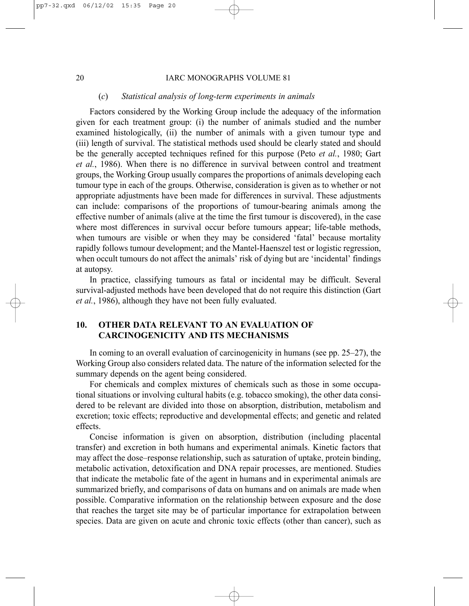# 20 IARC MONOGRAPHS VOLUME 81

# (*c*) *Statistical analysis of long-term experiments in animals*

Factors considered by the Working Group include the adequacy of the information given for each treatment group: (i) the number of animals studied and the number examined histologically, (ii) the number of animals with a given tumour type and (iii) length of survival. The statistical methods used should be clearly stated and should be the generally accepted techniques refined for this purpose (Peto *et al.*, 1980; Gart *et al.*, 1986). When there is no difference in survival between control and treatment groups, the Working Group usually compares the proportions of animals developing each tumour type in each of the groups. Otherwise, consideration is given as to whether or not appropriate adjustments have been made for differences in survival. These adjustments can include: comparisons of the proportions of tumour-bearing animals among the effective number of animals (alive at the time the first tumour is discovered), in the case where most differences in survival occur before tumours appear; life-table methods, when tumours are visible or when they may be considered 'fatal' because mortality rapidly follows tumour development; and the Mantel-Haenszel test or logistic regression, when occult tumours do not affect the animals' risk of dying but are 'incidental' findings at autopsy.

In practice, classifying tumours as fatal or incidental may be difficult. Several survival-adjusted methods have been developed that do not require this distinction (Gart *et al.*, 1986), although they have not been fully evaluated.

# **10. OTHER DATA RELEVANT TO AN EVALUATION OF CARCINOGENICITY AND ITS MECHANISMS**

In coming to an overall evaluation of carcinogenicity in humans (see pp. 25–27), the Working Group also considers related data. The nature of the information selected for the summary depends on the agent being considered.

For chemicals and complex mixtures of chemicals such as those in some occupational situations or involving cultural habits (e.g. tobacco smoking), the other data considered to be relevant are divided into those on absorption, distribution, metabolism and excretion; toxic effects; reproductive and developmental effects; and genetic and related effects.

Concise information is given on absorption, distribution (including placental transfer) and excretion in both humans and experimental animals. Kinetic factors that may affect the dose–response relationship, such as saturation of uptake, protein binding, metabolic activation, detoxification and DNA repair processes, are mentioned. Studies that indicate the metabolic fate of the agent in humans and in experimental animals are summarized briefly, and comparisons of data on humans and on animals are made when possible. Comparative information on the relationship between exposure and the dose that reaches the target site may be of particular importance for extrapolation between species. Data are given on acute and chronic toxic effects (other than cancer), such as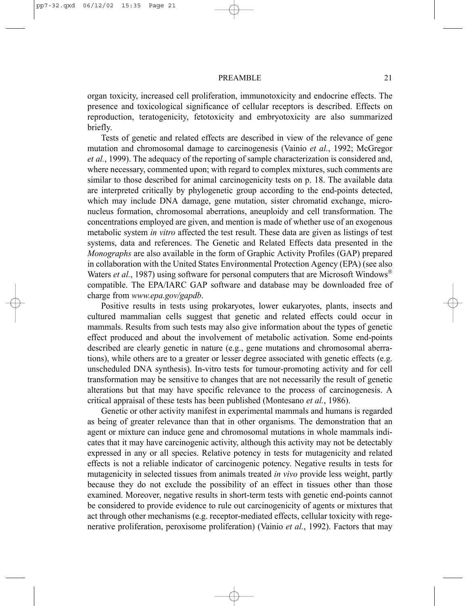organ toxicity, increased cell proliferation, immunotoxicity and endocrine effects. The presence and toxicological significance of cellular receptors is described. Effects on reproduction, teratogenicity, fetotoxicity and embryotoxicity are also summarized briefly.

Tests of genetic and related effects are described in view of the relevance of gene mutation and chromosomal damage to carcinogenesis (Vainio *et al.*, 1992; McGregor *et al.*, 1999). The adequacy of the reporting of sample characterization is considered and, where necessary, commented upon; with regard to complex mixtures, such comments are similar to those described for animal carcinogenicity tests on p. 18. The available data are interpreted critically by phylogenetic group according to the end-points detected, which may include DNA damage, gene mutation, sister chromatid exchange, micronucleus formation, chromosomal aberrations, aneuploidy and cell transformation. The concentrations employed are given, and mention is made of whether use of an exogenous metabolic system *in vitro* affected the test result. These data are given as listings of test systems, data and references. The Genetic and Related Effects data presented in the *Monographs* are also available in the form of Graphic Activity Profiles (GAP) prepared in collaboration with the United States Environmental Protection Agency (EPA) (see also Waters *et al.*, 1987) using software for personal computers that are Microsoft Windows<sup>®</sup> compatible. The EPA/IARC GAP software and database may be downloaded free of charge from *www.epa.gov/gapdb*.

Positive results in tests using prokaryotes, lower eukaryotes, plants, insects and cultured mammalian cells suggest that genetic and related effects could occur in mammals. Results from such tests may also give information about the types of genetic effect produced and about the involvement of metabolic activation. Some end-points described are clearly genetic in nature (e.g., gene mutations and chromosomal aberrations), while others are to a greater or lesser degree associated with genetic effects (e.g. unscheduled DNA synthesis). In-vitro tests for tumour-promoting activity and for cell transformation may be sensitive to changes that are not necessarily the result of genetic alterations but that may have specific relevance to the process of carcinogenesis. A critical appraisal of these tests has been published (Montesano *et al.*, 1986).

Genetic or other activity manifest in experimental mammals and humans is regarded as being of greater relevance than that in other organisms. The demonstration that an agent or mixture can induce gene and chromosomal mutations in whole mammals indicates that it may have carcinogenic activity, although this activity may not be detectably expressed in any or all species. Relative potency in tests for mutagenicity and related effects is not a reliable indicator of carcinogenic potency. Negative results in tests for mutagenicity in selected tissues from animals treated *in vivo* provide less weight, partly because they do not exclude the possibility of an effect in tissues other than those examined. Moreover, negative results in short-term tests with genetic end-points cannot be considered to provide evidence to rule out carcinogenicity of agents or mixtures that act through other mechanisms (e.g. receptor-mediated effects, cellular toxicity with regenerative proliferation, peroxisome proliferation) (Vainio *et al.*, 1992). Factors that may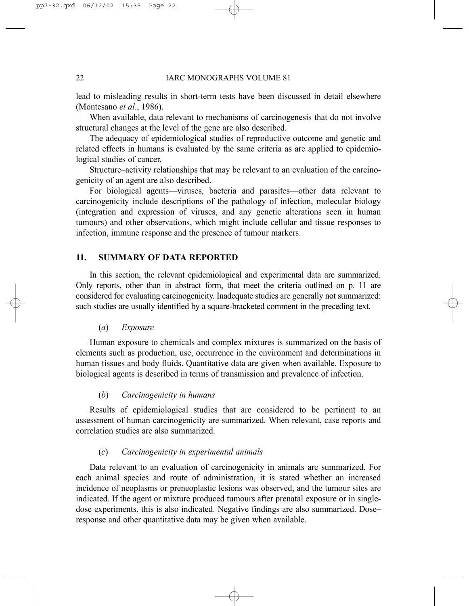lead to misleading results in short-term tests have been discussed in detail elsewhere (Montesano *et al.*, 1986).

When available, data relevant to mechanisms of carcinogenesis that do not involve structural changes at the level of the gene are also described.

The adequacy of epidemiological studies of reproductive outcome and genetic and related effects in humans is evaluated by the same criteria as are applied to epidemiological studies of cancer.

Structure–activity relationships that may be relevant to an evaluation of the carcinogenicity of an agent are also described.

For biological agents—viruses, bacteria and parasites—other data relevant to carcinogenicity include descriptions of the pathology of infection, molecular biology (integration and expression of viruses, and any genetic alterations seen in human tumours) and other observations, which might include cellular and tissue responses to infection, immune response and the presence of tumour markers.

# **11. SUMMARY OF DATA REPORTED**

In this section, the relevant epidemiological and experimental data are summarized. Only reports, other than in abstract form, that meet the criteria outlined on p. 11 are considered for evaluating carcinogenicity. Inadequate studies are generally not summarized: such studies are usually identified by a square-bracketed comment in the preceding text.

(*a*) *Exposure*

Human exposure to chemicals and complex mixtures is summarized on the basis of elements such as production, use, occurrence in the environment and determinations in human tissues and body fluids. Quantitative data are given when available. Exposure to biological agents is described in terms of transmission and prevalence of infection.

#### (*b*) *Carcinogenicity in humans*

Results of epidemiological studies that are considered to be pertinent to an assessment of human carcinogenicity are summarized. When relevant, case reports and correlation studies are also summarized.

### (*c*) *Carcinogenicity in experimental animals*

Data relevant to an evaluation of carcinogenicity in animals are summarized. For each animal species and route of administration, it is stated whether an increased incidence of neoplasms or preneoplastic lesions was observed, and the tumour sites are indicated. If the agent or mixture produced tumours after prenatal exposure or in singledose experiments, this is also indicated. Negative findings are also summarized. Dose– response and other quantitative data may be given when available.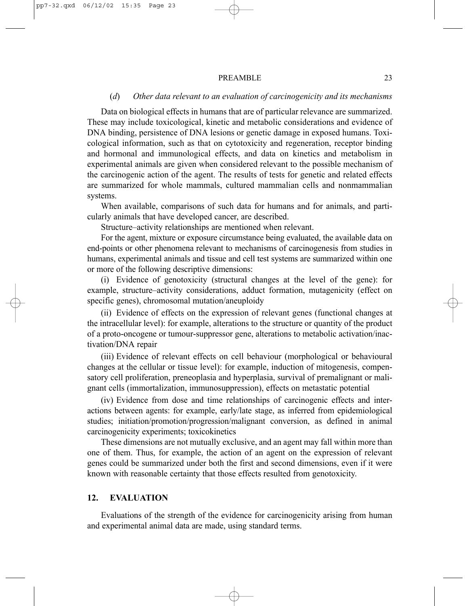# (*d*) *Other data relevant to an evaluation of carcinogenicity and its mechanisms*

Data on biological effects in humans that are of particular relevance are summarized. These may include toxicological, kinetic and metabolic considerations and evidence of DNA binding, persistence of DNA lesions or genetic damage in exposed humans. Toxicological information, such as that on cytotoxicity and regeneration, receptor binding and hormonal and immunological effects, and data on kinetics and metabolism in experimental animals are given when considered relevant to the possible mechanism of the carcinogenic action of the agent. The results of tests for genetic and related effects are summarized for whole mammals, cultured mammalian cells and nonmammalian systems.

When available, comparisons of such data for humans and for animals, and particularly animals that have developed cancer, are described.

Structure–activity relationships are mentioned when relevant.

For the agent, mixture or exposure circumstance being evaluated, the available data on end-points or other phenomena relevant to mechanisms of carcinogenesis from studies in humans, experimental animals and tissue and cell test systems are summarized within one or more of the following descriptive dimensions:

(i) Evidence of genotoxicity (structural changes at the level of the gene): for example, structure–activity considerations, adduct formation, mutagenicity (effect on specific genes), chromosomal mutation/aneuploidy

(ii) Evidence of effects on the expression of relevant genes (functional changes at the intracellular level): for example, alterations to the structure or quantity of the product of a proto-oncogene or tumour-suppressor gene, alterations to metabolic activation/inactivation/DNA repair

(iii) Evidence of relevant effects on cell behaviour (morphological or behavioural changes at the cellular or tissue level): for example, induction of mitogenesis, compensatory cell proliferation, preneoplasia and hyperplasia, survival of premalignant or malignant cells (immortalization, immunosuppression), effects on metastatic potential

(iv) Evidence from dose and time relationships of carcinogenic effects and interactions between agents: for example, early/late stage, as inferred from epidemiological studies; initiation/promotion/progression/malignant conversion, as defined in animal carcinogenicity experiments; toxicokinetics

These dimensions are not mutually exclusive, and an agent may fall within more than one of them. Thus, for example, the action of an agent on the expression of relevant genes could be summarized under both the first and second dimensions, even if it were known with reasonable certainty that those effects resulted from genotoxicity.

# **12. EVALUATION**

Evaluations of the strength of the evidence for carcinogenicity arising from human and experimental animal data are made, using standard terms.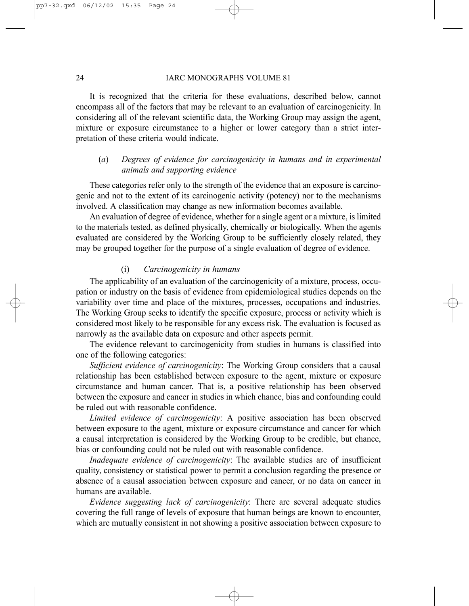### 24 IARC MONOGRAPHS VOLUME 81

It is recognized that the criteria for these evaluations, described below, cannot encompass all of the factors that may be relevant to an evaluation of carcinogenicity. In considering all of the relevant scientific data, the Working Group may assign the agent, mixture or exposure circumstance to a higher or lower category than a strict interpretation of these criteria would indicate.

# (*a*) *Degrees of evidence for carcinogenicity in humans and in experimental animals and supporting evidence*

These categories refer only to the strength of the evidence that an exposure is carcinogenic and not to the extent of its carcinogenic activity (potency) nor to the mechanisms involved. A classification may change as new information becomes available.

An evaluation of degree of evidence, whether for a single agent or a mixture, is limited to the materials tested, as defined physically, chemically or biologically. When the agents evaluated are considered by the Working Group to be sufficiently closely related, they may be grouped together for the purpose of a single evaluation of degree of evidence.

# (i) *Carcinogenicity in humans*

The applicability of an evaluation of the carcinogenicity of a mixture, process, occupation or industry on the basis of evidence from epidemiological studies depends on the variability over time and place of the mixtures, processes, occupations and industries. The Working Group seeks to identify the specific exposure, process or activity which is considered most likely to be responsible for any excess risk. The evaluation is focused as narrowly as the available data on exposure and other aspects permit.

The evidence relevant to carcinogenicity from studies in humans is classified into one of the following categories:

*Sufficient evidence of carcinogenicity*: The Working Group considers that a causal relationship has been established between exposure to the agent, mixture or exposure circumstance and human cancer. That is, a positive relationship has been observed between the exposure and cancer in studies in which chance, bias and confounding could be ruled out with reasonable confidence.

*Limited evidence of carcinogenicity*: A positive association has been observed between exposure to the agent, mixture or exposure circumstance and cancer for which a causal interpretation is considered by the Working Group to be credible, but chance, bias or confounding could not be ruled out with reasonable confidence.

*Inadequate evidence of carcinogenicity*: The available studies are of insufficient quality, consistency or statistical power to permit a conclusion regarding the presence or absence of a causal association between exposure and cancer, or no data on cancer in humans are available.

*Evidence suggesting lack of carcinogenicity*: There are several adequate studies covering the full range of levels of exposure that human beings are known to encounter, which are mutually consistent in not showing a positive association between exposure to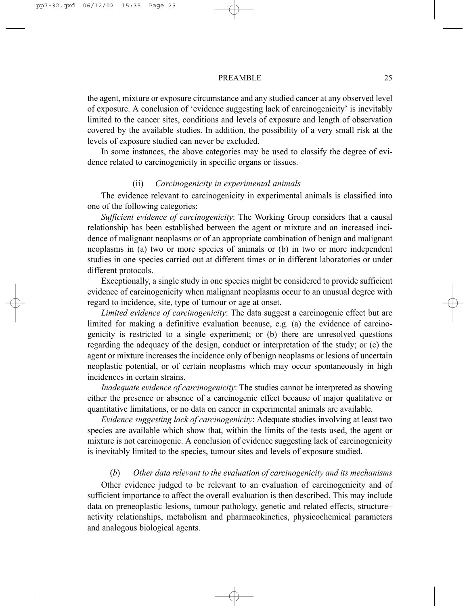the agent, mixture or exposure circumstance and any studied cancer at any observed level of exposure. A conclusion of 'evidence suggesting lack of carcinogenicity' is inevitably limited to the cancer sites, conditions and levels of exposure and length of observation covered by the available studies. In addition, the possibility of a very small risk at the levels of exposure studied can never be excluded.

In some instances, the above categories may be used to classify the degree of evidence related to carcinogenicity in specific organs or tissues.

## (ii) *Carcinogenicity in experimental animals*

The evidence relevant to carcinogenicity in experimental animals is classified into one of the following categories:

*Sufficient evidence of carcinogenicity*: The Working Group considers that a causal relationship has been established between the agent or mixture and an increased incidence of malignant neoplasms or of an appropriate combination of benign and malignant neoplasms in (a) two or more species of animals or (b) in two or more independent studies in one species carried out at different times or in different laboratories or under different protocols.

Exceptionally, a single study in one species might be considered to provide sufficient evidence of carcinogenicity when malignant neoplasms occur to an unusual degree with regard to incidence, site, type of tumour or age at onset.

*Limited evidence of carcinogenicity*: The data suggest a carcinogenic effect but are limited for making a definitive evaluation because, e.g. (a) the evidence of carcinogenicity is restricted to a single experiment; or (b) there are unresolved questions regarding the adequacy of the design, conduct or interpretation of the study; or (c) the agent or mixture increases the incidence only of benign neoplasms or lesions of uncertain neoplastic potential, or of certain neoplasms which may occur spontaneously in high incidences in certain strains.

*Inadequate evidence of carcinogenicity*: The studies cannot be interpreted as showing either the presence or absence of a carcinogenic effect because of major qualitative or quantitative limitations, or no data on cancer in experimental animals are available.

*Evidence suggesting lack of carcinogenicity*: Adequate studies involving at least two species are available which show that, within the limits of the tests used, the agent or mixture is not carcinogenic. A conclusion of evidence suggesting lack of carcinogenicity is inevitably limited to the species, tumour sites and levels of exposure studied.

# (*b*) *Other data relevant to the evaluation of carcinogenicity and its mechanisms*

Other evidence judged to be relevant to an evaluation of carcinogenicity and of sufficient importance to affect the overall evaluation is then described. This may include data on preneoplastic lesions, tumour pathology, genetic and related effects, structure– activity relationships, metabolism and pharmacokinetics, physicochemical parameters and analogous biological agents.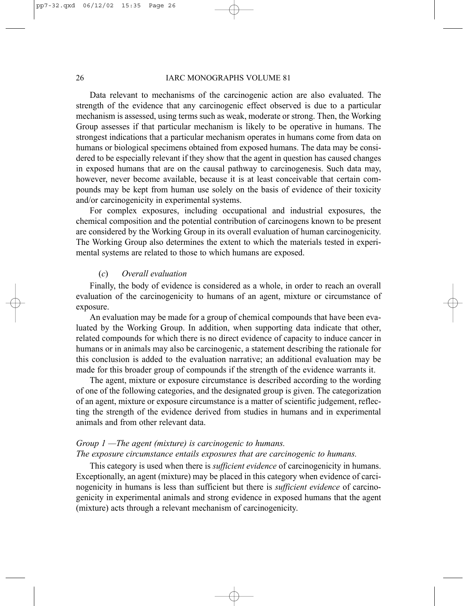#### 26 IARC MONOGRAPHS VOLUME 81

Data relevant to mechanisms of the carcinogenic action are also evaluated. The strength of the evidence that any carcinogenic effect observed is due to a particular mechanism is assessed, using terms such as weak, moderate or strong. Then, the Working Group assesses if that particular mechanism is likely to be operative in humans. The strongest indications that a particular mechanism operates in humans come from data on humans or biological specimens obtained from exposed humans. The data may be considered to be especially relevant if they show that the agent in question has caused changes in exposed humans that are on the causal pathway to carcinogenesis. Such data may, however, never become available, because it is at least conceivable that certain compounds may be kept from human use solely on the basis of evidence of their toxicity and/or carcinogenicity in experimental systems.

For complex exposures, including occupational and industrial exposures, the chemical composition and the potential contribution of carcinogens known to be present are considered by the Working Group in its overall evaluation of human carcinogenicity. The Working Group also determines the extent to which the materials tested in experimental systems are related to those to which humans are exposed.

# (*c*) *Overall evaluation*

Finally, the body of evidence is considered as a whole, in order to reach an overall evaluation of the carcinogenicity to humans of an agent, mixture or circumstance of exposure.

An evaluation may be made for a group of chemical compounds that have been evaluated by the Working Group. In addition, when supporting data indicate that other, related compounds for which there is no direct evidence of capacity to induce cancer in humans or in animals may also be carcinogenic, a statement describing the rationale for this conclusion is added to the evaluation narrative; an additional evaluation may be made for this broader group of compounds if the strength of the evidence warrants it.

The agent, mixture or exposure circumstance is described according to the wording of one of the following categories, and the designated group is given. The categorization of an agent, mixture or exposure circumstance is a matter of scientific judgement, reflecting the strength of the evidence derived from studies in humans and in experimental animals and from other relevant data.

# *Group 1 —The agent (mixture) is carcinogenic to humans. The exposure circumstance entails exposures that are carcinogenic to humans.*

This category is used when there is *sufficient evidence* of carcinogenicity in humans. Exceptionally, an agent (mixture) may be placed in this category when evidence of carcinogenicity in humans is less than sufficient but there is *sufficient evidence* of carcinogenicity in experimental animals and strong evidence in exposed humans that the agent (mixture) acts through a relevant mechanism of carcinogenicity.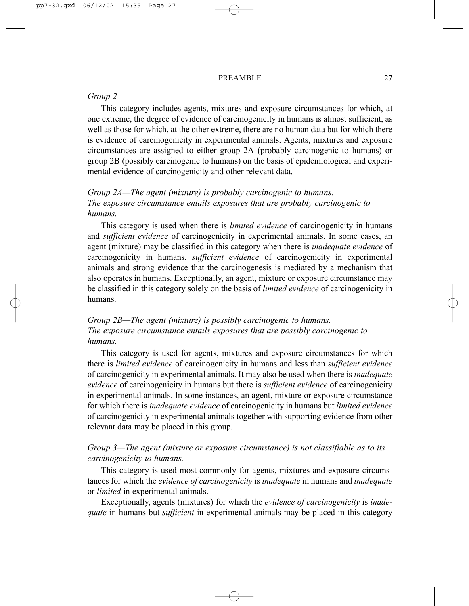# *Group 2*

This category includes agents, mixtures and exposure circumstances for which, at one extreme, the degree of evidence of carcinogenicity in humans is almost sufficient, as well as those for which, at the other extreme, there are no human data but for which there is evidence of carcinogenicity in experimental animals. Agents, mixtures and exposure circumstances are assigned to either group 2A (probably carcinogenic to humans) or group 2B (possibly carcinogenic to humans) on the basis of epidemiological and experimental evidence of carcinogenicity and other relevant data.

# *Group 2A—The agent (mixture) is probably carcinogenic to humans. The exposure circumstance entails exposures that are probably carcinogenic to humans.*

This category is used when there is *limited evidence* of carcinogenicity in humans and *sufficient evidence* of carcinogenicity in experimental animals. In some cases, an agent (mixture) may be classified in this category when there is *inadequate evidence* of carcinogenicity in humans, *sufficient evidence* of carcinogenicity in experimental animals and strong evidence that the carcinogenesis is mediated by a mechanism that also operates in humans. Exceptionally, an agent, mixture or exposure circumstance may be classified in this category solely on the basis of *limited evidence* of carcinogenicity in humans.

# *Group 2B—The agent (mixture) is possibly carcinogenic to humans. The exposure circumstance entails exposures that are possibly carcinogenic to humans.*

This category is used for agents, mixtures and exposure circumstances for which there is *limited evidence* of carcinogenicity in humans and less than *sufficient evidence* of carcinogenicity in experimental animals. It may also be used when there is *inadequate evidence* of carcinogenicity in humans but there is *sufficient evidence* of carcinogenicity in experimental animals. In some instances, an agent, mixture or exposure circumstance for which there is *inadequate evidence* of carcinogenicity in humans but *limited evidence* of carcinogenicity in experimental animals together with supporting evidence from other relevant data may be placed in this group.

# *Group 3—The agent (mixture or exposure circumstance) is not classifiable as to its carcinogenicity to humans.*

This category is used most commonly for agents, mixtures and exposure circumstances for which the *evidence of carcinogenicity* is *inadequate* in humans and *inadequate* or *limited* in experimental animals.

Exceptionally, agents (mixtures) for which the *evidence of carcinogenicity* is *inadequate* in humans but *sufficient* in experimental animals may be placed in this category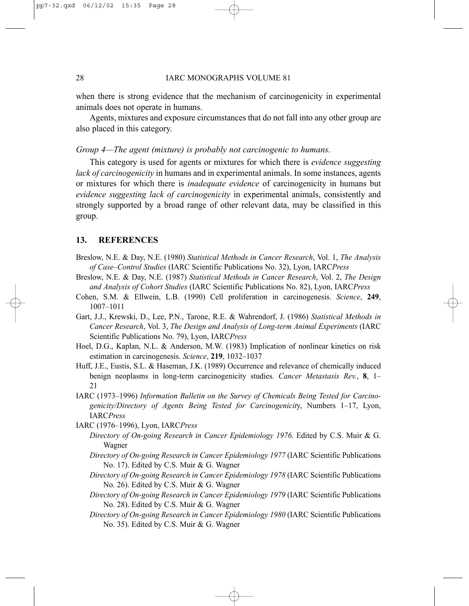when there is strong evidence that the mechanism of carcinogenicity in experimental animals does not operate in humans.

Agents, mixtures and exposure circumstances that do not fall into any other group are also placed in this category.

*Group 4—The agent (mixture) is probably not carcinogenic to humans.*

This category is used for agents or mixtures for which there is *evidence suggesting lack of carcinogenicity* in humans and in experimental animals. In some instances, agents or mixtures for which there is *inadequate evidence* of carcinogenicity in humans but *evidence suggesting lack of carcinogenicity* in experimental animals, consistently and strongly supported by a broad range of other relevant data, may be classified in this group.

# **13. REFERENCES**

- Breslow, N.E. & Day, N.E. (1980) *Statistical Methods in Cancer Research*, Vol. 1, *The Analysis of Case–Control Studies* (IARC Scientific Publications No. 32), Lyon, IARC*Press*
- Breslow, N.E. & Day, N.E. (1987) *Statistical Methods in Cancer Research*, Vol. 2, *The Design and Analysis of Cohort Studies* (IARC Scientific Publications No. 82), Lyon, IARC*Press*
- Cohen, S.M. & Ellwein, L.B. (1990) Cell proliferation in carcinogenesis. *Science*, **249**, 1007–1011
- Gart, J.J., Krewski, D., Lee, P.N., Tarone, R.E. & Wahrendorf, J. (1986) *Statistical Methods in Cancer Research*, Vol. 3, *The Design and Analysis of Long-term Animal Experiments* (IARC Scientific Publications No. 79), Lyon, IARC*Press*
- Hoel, D.G., Kaplan, N.L. & Anderson, M.W. (1983) Implication of nonlinear kinetics on risk estimation in carcinogenesis. *Science*, **219**, 1032–1037
- Huff, J.E., Eustis, S.L. & Haseman, J.K. (1989) Occurrence and relevance of chemically induced benign neoplasms in long-term carcinogenicity studies. *Cancer Metastasis Rev.*, **8**, 1– 21
- IARC (1973–1996) *Information Bulletin on the Survey of Chemicals Being Tested for Carcinogenicity/Directory of Agents Being Tested for Carcinogenicit*y, Numbers 1–17, Lyon, IARC*Press*

IARC (1976–1996), Lyon, IARC*Press*

- *Directory of On-going Research in Cancer Epidemiology 1976.* Edited by C.S. Muir & G. Wagner
- *Directory of On-going Research in Cancer Epidemiology 1977* (IARC Scientific Publications No. 17). Edited by C.S. Muir & G. Wagner
- *Directory of On-going Research in Cancer Epidemiology 1978* (IARC Scientific Publications No. 26). Edited by C.S. Muir & G. Wagner
- *Directory of On-going Research in Cancer Epidemiology 1979* (IARC Scientific Publications No. 28). Edited by C.S. Muir & G. Wagner
- *Directory of On-going Research in Cancer Epidemiology 1980* (IARC Scientific Publications No. 35). Edited by C.S. Muir & G. Wagner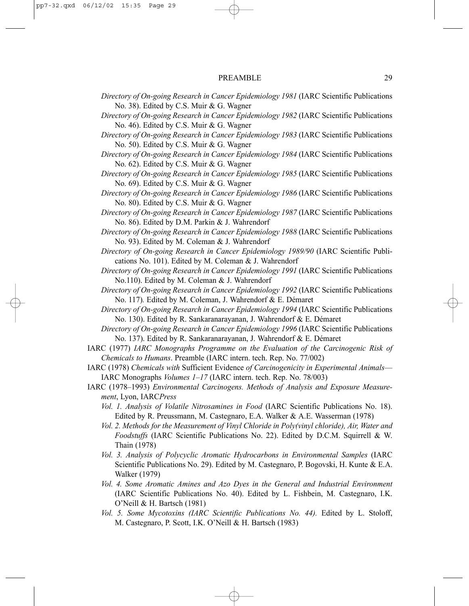- *Directory of On-going Research in Cancer Epidemiology 1981* (IARC Scientific Publications No. 38). Edited by C.S. Muir & G. Wagner
- *Directory of On-going Research in Cancer Epidemiology 1982* (IARC Scientific Publications No. 46). Edited by C.S. Muir & G. Wagner
- *Directory of On-going Research in Cancer Epidemiology 1983* (IARC Scientific Publications No. 50). Edited by C.S. Muir & G. Wagner
- *Directory of On-going Research in Cancer Epidemiology 1984* (IARC Scientific Publications No. 62). Edited by C.S. Muir & G. Wagner
- *Directory of On-going Research in Cancer Epidemiology 1985* (IARC Scientific Publications No. 69). Edited by C.S. Muir & G. Wagner
- *Directory of On-going Research in Cancer Epidemiology 1986* (IARC Scientific Publications No. 80). Edited by C.S. Muir & G. Wagner
- *Directory of On-going Research in Cancer Epidemiology 1987* (IARC Scientific Publications No. 86). Edited by D.M. Parkin & J. Wahrendorf
- *Directory of On-going Research in Cancer Epidemiology 1988* (IARC Scientific Publications No. 93). Edited by M. Coleman & J. Wahrendorf
- *Directory of On-going Research in Cancer Epidemiology 1989/90* (IARC Scientific Publications No. 101). Edited by M. Coleman & J. Wahrendorf
- *Directory of On-going Research in Cancer Epidemiology 1991* (IARC Scientific Publications No.110). Edited by M. Coleman & J. Wahrendorf
- *Directory of On-going Research in Cancer Epidemiology 1992* (IARC Scientific Publications No. 117)*.* Edited by M. Coleman, J. Wahrendorf & E. Démaret
- *Directory of On-going Research in Cancer Epidemiology 1994* (IARC Scientific Publications No. 130). Edited by R. Sankaranarayanan, J. Wahrendorf & E. Démaret
- *Directory of On-going Research in Cancer Epidemiology 1996* (IARC Scientific Publications No. 137). Edited by R. Sankaranarayanan, J. Wahrendorf & E. Démaret
- IARC (1977) *IARC Monographs Programme on the Evaluation of the Carcinogenic Risk of Chemicals to Humans*. Preamble (IARC intern. tech. Rep. No. 77/002)
- IARC (1978) *Chemicals with* Sufficient Evidence *of Carcinogenicity in Experimental Animals* IARC Monographs *Volumes 1–17* (IARC intern. tech. Rep. No. 78/003)
- IARC (1978–1993) *Environmental Carcinogens. Methods of Analysis and Exposure Measurement*, Lyon, IARC*Press*
	- *Vol. 1. Analysis of Volatile Nitrosamines in Food* (IARC Scientific Publications No. 18). Edited by R. Preussmann, M. Castegnaro, E.A. Walker & A.E. Wasserman (1978)
	- *Vol. 2. Methods for the Measurement of Vinyl Chloride in Poly(vinyl chloride), Air, Water and Foodstuffs* (IARC Scientific Publications No. 22). Edited by D.C.M. Squirrell & W. Thain (1978)
	- *Vol. 3. Analysis of Polycyclic Aromatic Hydrocarbons in Environmental Samples* (IARC Scientific Publications No. 29). Edited by M. Castegnaro, P. Bogovski, H. Kunte & E.A. Walker (1979)
	- *Vol. 4. Some Aromatic Amines and Azo Dyes in the General and Industrial Environment* (IARC Scientific Publications No. 40). Edited by L. Fishbein, M. Castegnaro, I.K. O'Neill & H. Bartsch (1981)
	- Vol. 5. Some Mycotoxins (IARC Scientific Publications No. 44). Edited by L. Stoloff, M. Castegnaro, P. Scott, I.K. O'Neill & H. Bartsch (1983)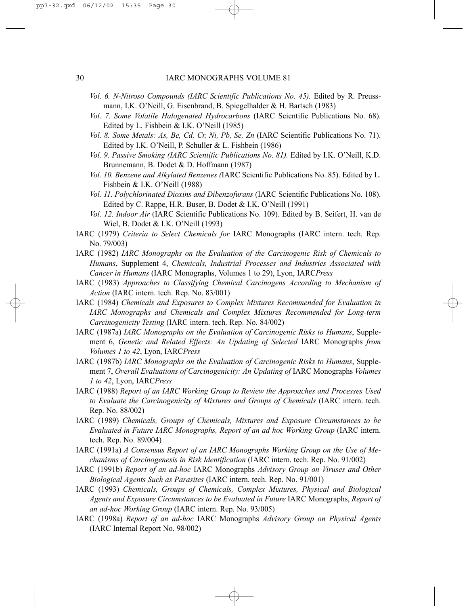- *Vol. 6. N-Nitroso Compounds (IARC Scientific Publications No. 45).* Edited by R. Preussmann, I.K. O'Neill, G. Eisenbrand, B. Spiegelhalder & H. Bartsch (1983)
- *Vol. 7. Some Volatile Halogenated Hydrocarbons* (IARC Scientific Publications No. 68). Edited by L. Fishbein & I.K. O'Neill (1985)
- *Vol. 8. Some Metals: As, Be, Cd, Cr, Ni, Pb, Se, Zn* (IARC Scientific Publications No. 71). Edited by I.K. O'Neill, P. Schuller & L. Fishbein (1986)
- *Vol. 9. Passive Smoking (IARC Scientific Publications No. 81).* Edited by I.K. O'Neill, K.D. Brunnemann, B. Dodet & D. Hoffmann (1987)
- *Vol. 10. Benzene and Alkylated Benzenes (*IARC Scientific Publications No. 85). Edited by L. Fishbein & I.K. O'Neill (1988)
- *Vol. 11. Polychlorinated Dioxins and Dibenzofurans* (IARC Scientific Publications No. 108). Edited by C. Rappe, H.R. Buser, B. Dodet & I.K. O'Neill (1991)
- *Vol. 12. Indoor Air* (IARC Scientific Publications No. 109). Edited by B. Seifert, H. van de Wiel, B. Dodet & I.K. O'Neill (1993)
- IARC (1979) *Criteria to Select Chemicals for* IARC Monographs (IARC intern. tech. Rep. No. 79/003)
- IARC (1982) *IARC Monographs on the Evaluation of the Carcinogenic Risk of Chemicals to Humans*, Supplement 4, *Chemicals, Industrial Processes and Industries Associated with Cancer in Humans* (IARC Monographs, Volumes 1 to 29), Lyon, IARC*Press*
- IARC (1983) *Approaches to Classifying Chemical Carcinogens According to Mechanism of Action* (IARC intern. tech. Rep. No. 83/001)
- IARC (1984) *Chemicals and Exposures to Complex Mixtures Recommended for Evaluation in IARC Monographs and Chemicals and Complex Mixtures Recommended for Long-term Carcinogenicity Testing* (IARC intern. tech. Rep. No. 84/002)
- IARC (1987a) *IARC Monographs on the Evaluation of Carcinogenic Risks to Humans*, Supplement 6, *Genetic and Related Effects: An Updating of Selected* IARC Monographs *from Volumes 1 to 42*, Lyon, IARC*Press*
- IARC (1987b) *IARC Monographs on the Evaluation of Carcinogenic Risks to Humans*, Supplement 7, *Overall Evaluations of Carcinogenicity: An Updating of* IARC Monographs *Volumes 1 to 42*, Lyon, IARC*Press*
- IARC (1988) *Report of an IARC Working Group to Review the Approaches and Processes Used to Evaluate the Carcinogenicity of Mixtures and Groups of Chemicals* (IARC intern. tech. Rep. No. 88/002)
- IARC (1989) *Chemicals, Groups of Chemicals, Mixtures and Exposure Circumstances to be Evaluated in Future IARC Monographs, Report of an ad hoc Working Group* (IARC intern. tech. Rep. No. 89/004)
- IARC (1991a) *A Consensus Report of an IARC Monographs Working Group on the Use of Mechanisms of Carcinogenesis in Risk Identification* (IARC intern. tech. Rep. No. 91/002)
- IARC (1991b) *Report of an ad-hoc* IARC Monographs *Advisory Group on Viruses and Other Biological Agents Such as Parasites* (IARC intern. tech. Rep. No. 91/001)
- IARC (1993) *Chemicals, Groups of Chemicals, Complex Mixtures, Physical and Biological Agents and Exposure Circumstances to be Evaluated in Future* IARC Monographs, *Report of an ad-hoc Working Group* (IARC intern. Rep. No. 93/005)
- IARC (1998a) *Report of an ad-hoc* IARC Monographs *Advisory Group on Physical Agents* (IARC Internal Report No. 98/002)